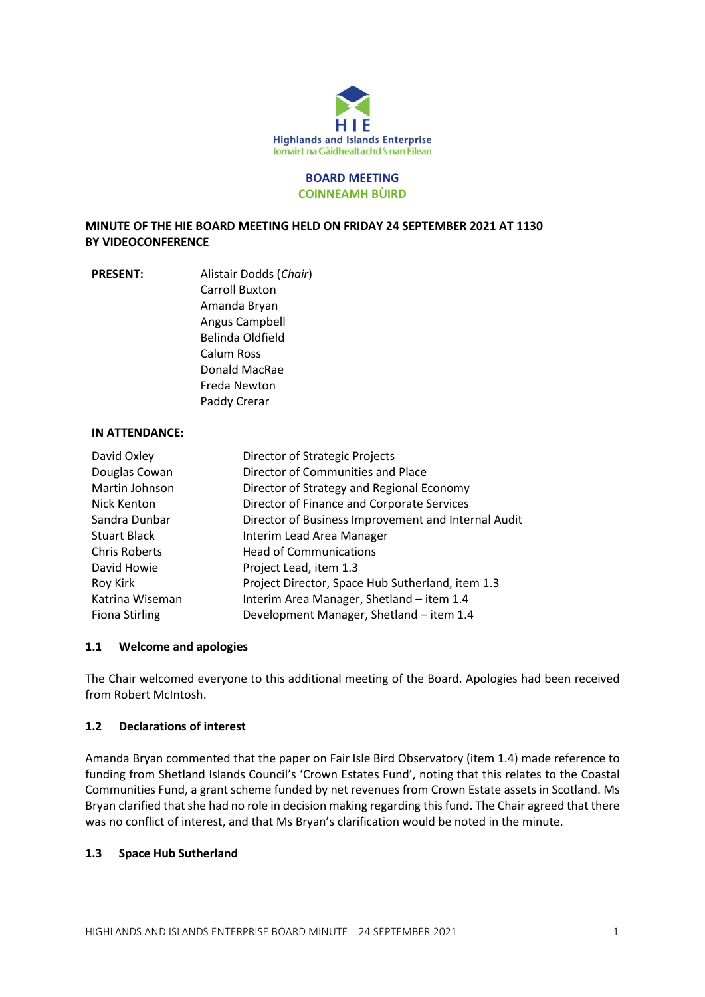

# **BOARD MEETING COINNEAMH BÙIRD**

**MINUTE OF THE HIE BOARD MEETING HELD ON FRIDAY 24 SEPTEMBER 2021 AT 1130 BY VIDEOCONFERENCE**

**PRESENT:** Alistair Dodds (*Chair*) Carroll Buxton Amanda Bryan Angus Campbell Belinda Oldfield Calum Ross Donald MacRae Freda Newton Paddy Crerar

### **IN ATTENDANCE:**

| David Oxley           | Director of Strategic Projects                      |
|-----------------------|-----------------------------------------------------|
| Douglas Cowan         | Director of Communities and Place                   |
| Martin Johnson        | Director of Strategy and Regional Economy           |
| Nick Kenton           | Director of Finance and Corporate Services          |
| Sandra Dunbar         | Director of Business Improvement and Internal Audit |
| <b>Stuart Black</b>   | Interim Lead Area Manager                           |
| <b>Chris Roberts</b>  | <b>Head of Communications</b>                       |
| David Howie           | Project Lead, item 1.3                              |
| Roy Kirk              | Project Director, Space Hub Sutherland, item 1.3    |
| Katrina Wiseman       | Interim Area Manager, Shetland - item 1.4           |
| <b>Fiona Stirling</b> | Development Manager, Shetland - item 1.4            |

### **1.1 Welcome and apologies**

The Chair welcomed everyone to this additional meeting of the Board. Apologies had been received from Robert McIntosh.

#### **1.2 Declarations of interest**

Amanda Bryan commented that the paper on Fair Isle Bird Observatory (item 1.4) made reference to funding from Shetland Islands Council's 'Crown Estates Fund', noting that this relates to the Coastal Communities Fund, a grant scheme funded by net revenues from Crown Estate assets in Scotland. Ms Bryan clarified that she had no role in decision making regarding this fund. The Chair agreed that there was no conflict of interest, and that Ms Bryan's clarification would be noted in the minute.

#### **1.3 Space Hub Sutherland**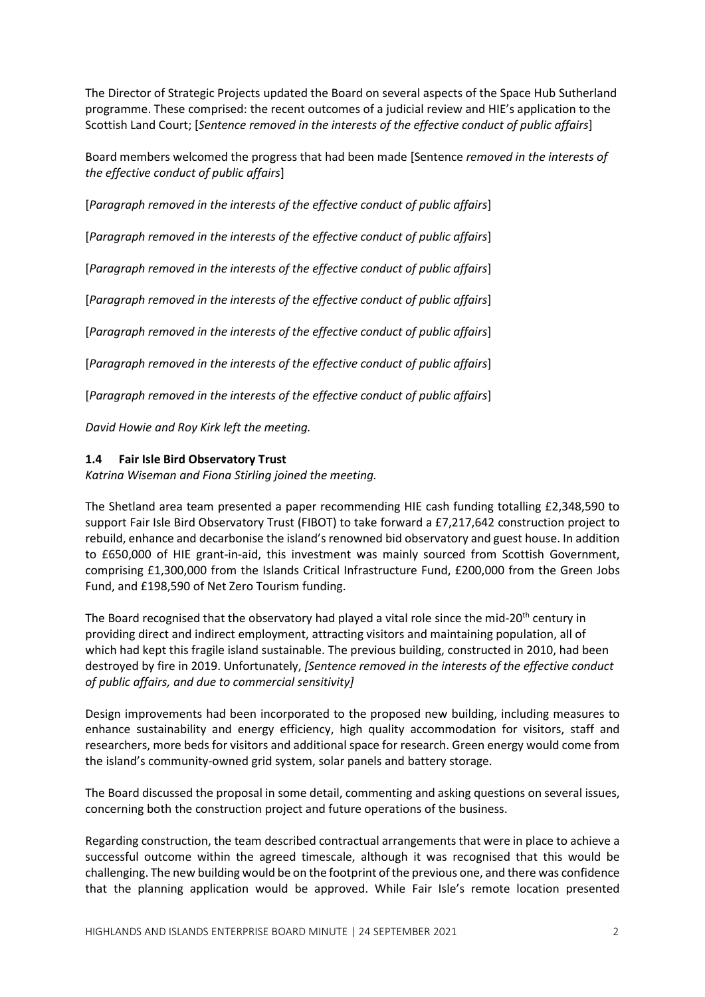The Director of Strategic Projects updated the Board on several aspects of the Space Hub Sutherland programme. These comprised: the recent outcomes of a judicial review and HIE's application to the Scottish Land Court; [*Sentence removed in the interests of the effective conduct of public affairs*]

Board members welcomed the progress that had been made [Sentence *removed in the interests of the effective conduct of public affairs*]

[*Paragraph removed in the interests of the effective conduct of public affairs*]

[*Paragraph removed in the interests of the effective conduct of public affairs*]

[*Paragraph removed in the interests of the effective conduct of public affairs*]

[*Paragraph removed in the interests of the effective conduct of public affairs*]

[*Paragraph removed in the interests of the effective conduct of public affairs*]

[*Paragraph removed in the interests of the effective conduct of public affairs*]

[*Paragraph removed in the interests of the effective conduct of public affairs*]

*David Howie and Roy Kirk left the meeting.*

### **1.4 Fair Isle Bird Observatory Trust**

*Katrina Wiseman and Fiona Stirling joined the meeting.*

The Shetland area team presented a paper recommending HIE cash funding totalling £2,348,590 to support Fair Isle Bird Observatory Trust (FIBOT) to take forward a £7,217,642 construction project to rebuild, enhance and decarbonise the island's renowned bid observatory and guest house. In addition to £650,000 of HIE grant-in-aid, this investment was mainly sourced from Scottish Government, comprising £1,300,000 from the Islands Critical Infrastructure Fund, £200,000 from the Green Jobs Fund, and £198,590 of Net Zero Tourism funding.

The Board recognised that the observatory had played a vital role since the mid-20<sup>th</sup> century in providing direct and indirect employment, attracting visitors and maintaining population, all of which had kept this fragile island sustainable. The previous building, constructed in 2010, had been destroyed by fire in 2019. Unfortunately, *[Sentence removed in the interests of the effective conduct of public affairs, and due to commercial sensitivity]*

Design improvements had been incorporated to the proposed new building, including measures to enhance sustainability and energy efficiency, high quality accommodation for visitors, staff and researchers, more beds for visitors and additional space for research. Green energy would come from the island's community-owned grid system, solar panels and battery storage.

The Board discussed the proposal in some detail, commenting and asking questions on several issues, concerning both the construction project and future operations of the business.

Regarding construction, the team described contractual arrangements that were in place to achieve a successful outcome within the agreed timescale, although it was recognised that this would be challenging. The new building would be on the footprint of the previous one, and there was confidence that the planning application would be approved. While Fair Isle's remote location presented